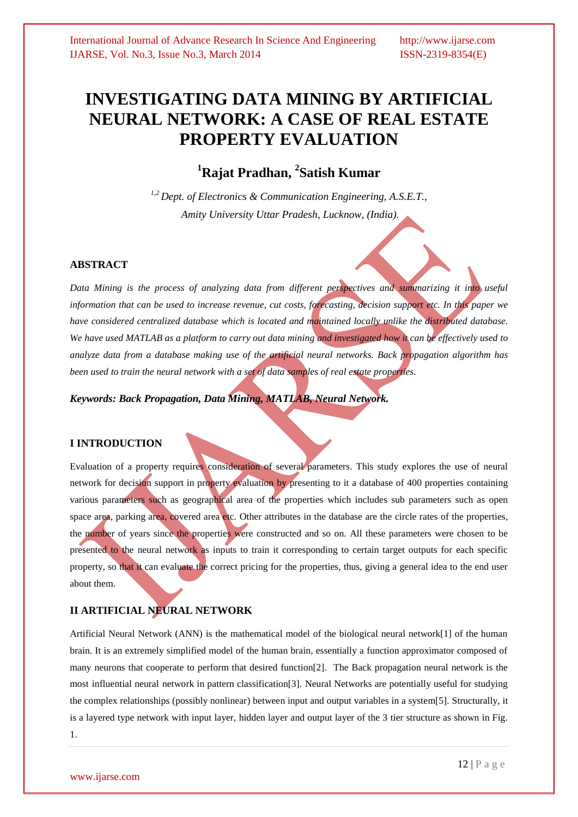# **INVESTIGATING DATA MINING BY ARTIFICIAL NEURAL NETWORK: A CASE OF REAL ESTATE PROPERTY EVALUATION**

# **<sup>1</sup>Rajat Pradhan, <sup>2</sup> Satish Kumar**

*1,2 Dept. of Electronics & Communication Engineering, A.S.E.T., Amity University Uttar Pradesh, Lucknow, (India).*

# **ABSTRACT**

*Data Mining is the process of analyzing data from different perspectives and summarizing it into useful information that can be used to increase revenue, cut costs, forecasting, decision support etc. In this paper we have considered centralized database which is located and maintained locally unlike the distributed database. We have used MATLAB as a platform to carry out data mining and investigated how it can be effectively used to analyze data from a database making use of the artificial neural networks. Back propagation algorithm has been used to train the neural network with a set of data samples of real estate properties.*

*Keywords: Back Propagation, Data Mining, MATLAB, Neural Network.*

# **I INTRODUCTION**

Evaluation of a property requires consideration of several parameters. This study explores the use of neural network for decision support in property evaluation by presenting to it a database of 400 properties containing various parameters such as geographical area of the properties which includes sub parameters such as open space area, parking area, covered area etc. Other attributes in the database are the circle rates of the properties, the number of years since the properties were constructed and so on. All these parameters were chosen to be presented to the neural network as inputs to train it corresponding to certain target outputs for each specific property, so that it can evaluate the correct pricing for the properties, thus, giving a general idea to the end user about them.

# **II ARTIFICIAL NEURAL NETWORK**

Artificial Neural Network (ANN) is the mathematical model of the biological neural network[1] of the human brain. It is an extremely simplified model of the human brain, essentially a function approximator composed of many neurons that cooperate to perform that desired function[2]. The Back propagation neural network is the most influential neural network in pattern classification[3]. Neural Networks are potentially useful for studying the complex relationships (possibly nonlinear) between input and output variables in a system[5]. Structurally, it is a layered type network with input layer, hidden layer and output layer of the 3 tier structure as shown in Fig. 1.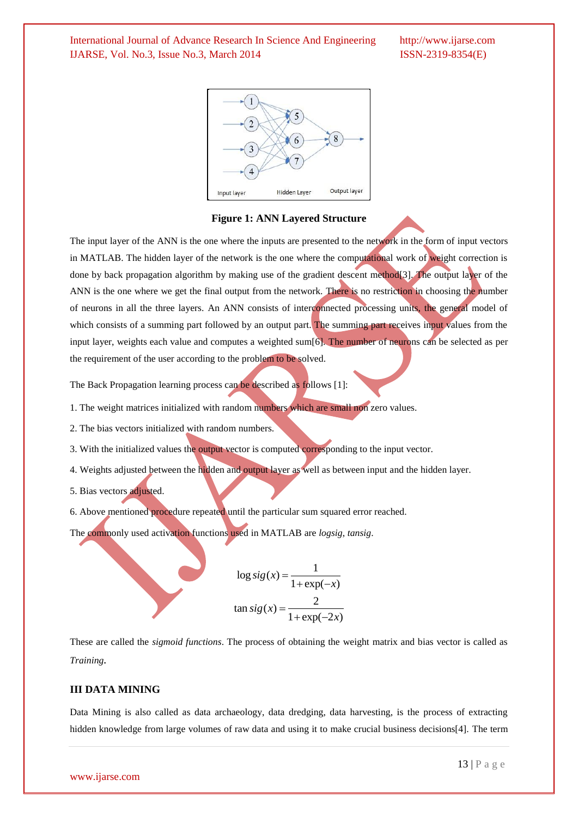

**Figure 1: ANN Layered Structure**

The input layer of the ANN is the one where the inputs are presented to the network in the form of input vectors in MATLAB. The hidden layer of the network is the one where the computational work of weight correction is done by back propagation algorithm by making use of the gradient descent method[3]. The output layer of the ANN is the one where we get the final output from the network. There is no restriction in choosing the number of neurons in all the three layers. An ANN consists of interconnected processing units, the general model of which consists of a summing part followed by an output part. The summing part receives input values from the input layer, weights each value and computes a weighted sum[6]. The number of neurons can be selected as per the requirement of the user according to the problem to be solved.

The Back Propagation learning process can be described as follows [1]:

1. The weight matrices initialized with random numbers which are small non zero values.

2. The bias vectors initialized with random numbers.

3. With the initialized values the output vector is computed corresponding to the input vector.

4. Weights adjusted between the hidden and output layer as well as between input and the hidden layer.

5. Bias vectors adjusted.

6. Above mentioned procedure repeated until the particular sum squared error reached.

The commonly used activation functions used in MATLAB are *logsig*, *tansig*.

$$
\log sig(x) = \frac{1}{1 + \exp(-x)}
$$
  

$$
\tan sig(x) = \frac{2}{1 + \exp(-2x)}
$$

These are called the *sigmoid functions*. The process of obtaining the weight matrix and bias vector is called as *Training.*

### **III DATA MINING**

Data Mining is also called as data archaeology, data dredging, data harvesting, is the process of extracting hidden knowledge from large volumes of raw data and using it to make crucial business decisions[4]. The term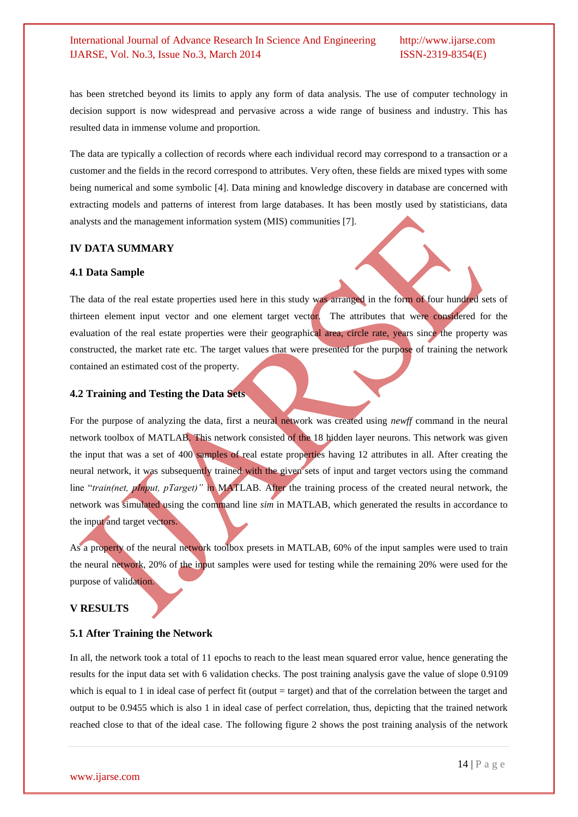has been stretched beyond its limits to apply any form of data analysis. The use of computer technology in decision support is now widespread and pervasive across a wide range of business and industry. This has resulted data in immense volume and proportion.

The data are typically a collection of records where each individual record may correspond to a transaction or a customer and the fields in the record correspond to attributes. Very often, these fields are mixed types with some being numerical and some symbolic [4]. Data mining and knowledge discovery in database are concerned with extracting models and patterns of interest from large databases. It has been mostly used by statisticians, data analysts and the management information system (MIS) communities [7].

#### **IV DATA SUMMARY**

#### **4.1 Data Sample**

The data of the real estate properties used here in this study was arranged in the form of four hundred sets of thirteen element input vector and one element target vector. The attributes that were considered for the evaluation of the real estate properties were their geographical area, circle rate, years since the property was constructed, the market rate etc. The target values that were presented for the purpose of training the network contained an estimated cost of the property.

# **4.2 Training and Testing the Data Sets**

For the purpose of analyzing the data, first a neural network was created using *newff* command in the neural network toolbox of MATLAB. This network consisted of the 18 hidden layer neurons. This network was given the input that was a set of 400 samples of real estate properties having 12 attributes in all. After creating the neural network, it was subsequently trained with the given sets of input and target vectors using the command line "*train(net, pInput, pTarget)"* in MATLAB. After the training process of the created neural network, the network was simulated using the command line *sim* in MATLAB, which generated the results in accordance to the input and target vectors.

As a property of the neural network toolbox presets in MATLAB, 60% of the input samples were used to train the neural network, 20% of the input samples were used for testing while the remaining 20% were used for the purpose of validation.

#### **V RESULTS**

#### **5.1 After Training the Network**

In all, the network took a total of 11 epochs to reach to the least mean squared error value, hence generating the results for the input data set with 6 validation checks. The post training analysis gave the value of slope 0.9109 which is equal to 1 in ideal case of perfect fit (output  $=$  target) and that of the correlation between the target and output to be 0.9455 which is also 1 in ideal case of perfect correlation, thus, depicting that the trained network reached close to that of the ideal case. The following figure 2 shows the post training analysis of the network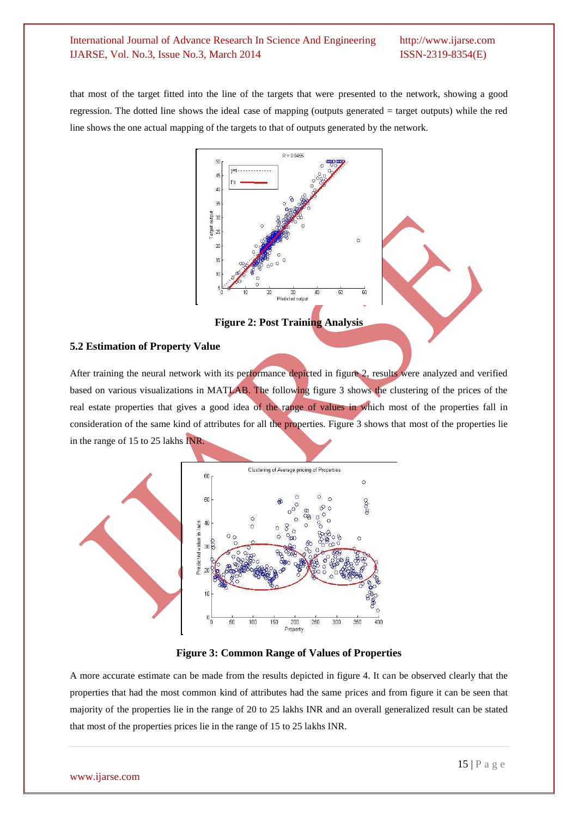that most of the target fitted into the line of the targets that were presented to the network, showing a good regression. The dotted line shows the ideal case of mapping (outputs generated = target outputs) while the red line shows the one actual mapping of the targets to that of outputs generated by the network.



**Figure 2: Post Training Analysis**

# **5.2 Estimation of Property Value**

After training the neural network with its performance depicted in figure 2, results were analyzed and verified based on various visualizations in MATLAB. The following figure 3 shows the clustering of the prices of the real estate properties that gives a good idea of the range of values in which most of the properties fall in consideration of the same kind of attributes for all the properties. Figure 3 shows that most of the properties lie in the range of 15 to 25 lakhs INR.





A more accurate estimate can be made from the results depicted in figure 4. It can be observed clearly that the properties that had the most common kind of attributes had the same prices and from figure it can be seen that majority of the properties lie in the range of 20 to 25 lakhs INR and an overall generalized result can be stated that most of the properties prices lie in the range of 15 to 25 lakhs INR.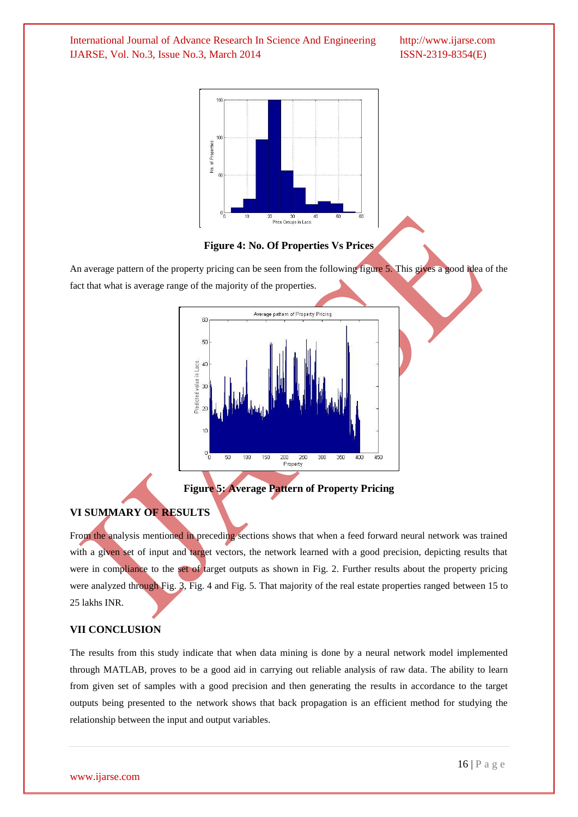

#### **Figure 4: No. Of Properties Vs Prices**

An average pattern of the property pricing can be seen from the following figure 5. This gives a good idea of the fact that what is average range of the majority of the properties.



**Figure 5: Average Pattern of Property Pricing**

# **VI SUMMARY OF RESULTS**

From the analysis mentioned in preceding sections shows that when a feed forward neural network was trained with a given set of input and target vectors, the network learned with a good precision, depicting results that were in compliance to the set of target outputs as shown in Fig. 2. Further results about the property pricing were analyzed through Fig. 3, Fig. 4 and Fig. 5. That majority of the real estate properties ranged between 15 to 25 lakhs INR.

#### **VII CONCLUSION**

The results from this study indicate that when data mining is done by a neural network model implemented through MATLAB, proves to be a good aid in carrying out reliable analysis of raw data. The ability to learn from given set of samples with a good precision and then generating the results in accordance to the target outputs being presented to the network shows that back propagation is an efficient method for studying the relationship between the input and output variables.